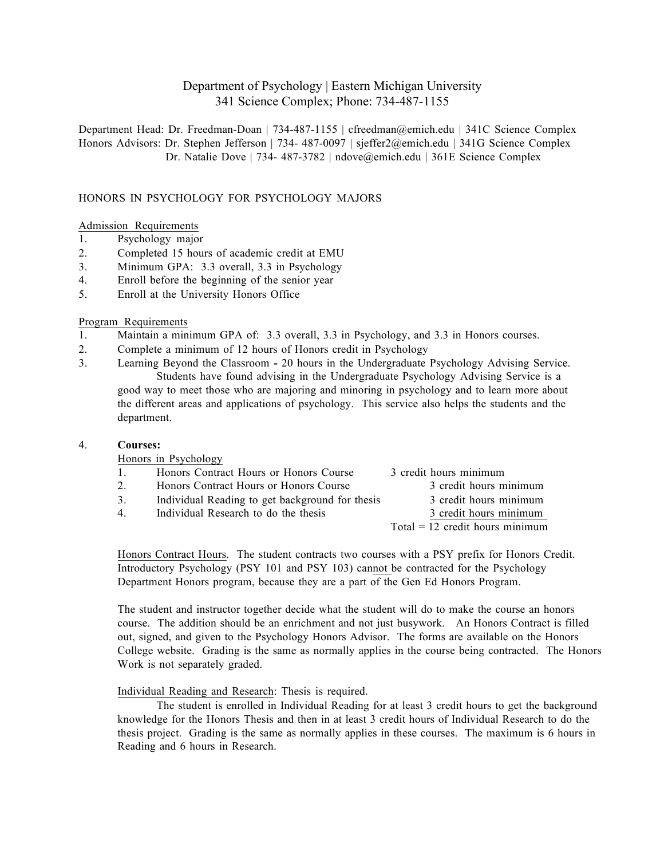# Department of Psychology | Eastern Michigan University 341 Science Complex; Phone: 734-487-1155

Department Head: Dr. Freedman-Doan | 734-487-1155 | cfreedman@emich.edu | 341C Science Complex Honors Advisors: Dr. Stephen Jefferson | 734- 487-0097 | sjeffer2@emich.edu | 341G Science Complex Dr. Natalie Dove | 734- 487-3782 | ndove@emich.edu | 361E Science Complex

# HONORS IN PSYCHOLOGY FOR PSYCHOLOGY MAJORS

### Admission Requirements

- 1. Psychology major
- 2. Completed 15 hours of academic credit at EMU
- 3. Minimum GPA: 3.3 overall, 3.3 in Psychology
- 4. Enroll before the beginning of the senior year
- 5. Enroll at the University Honors Office

### Program Requirements

- 1. Maintain a minimum GPA of: 3.3 overall, 3.3 in Psychology, and 3.3 in Honors courses.
- 2. Complete a minimum of 12 hours of Honors credit in Psychology
- 3. Learning Beyond the Classroom **-** 20 hours in the Undergraduate Psychology Advising Service. Students have found advising in the Undergraduate Psychology Advising Service is a good way to meet those who are majoring and minoring in psychology and to learn more about the different areas and applications of psychology. This service also helps the students and the department.

#### 4. **Courses:**

Honors in Psychology

| 1.010101111010100011 |                                                 |                                   |  |
|----------------------|-------------------------------------------------|-----------------------------------|--|
| 1.                   | Honors Contract Hours or Honors Course          | 3 credit hours minimum            |  |
| 2.                   | Honors Contract Hours or Honors Course          | 3 credit hours minimum            |  |
| 3.                   | Individual Reading to get background for thesis | 3 credit hours minimum            |  |
| 4                    | Individual Research to do the thesis            | 3 credit hours minimum            |  |
|                      |                                                 | $Total = 12$ credit hours minimum |  |
|                      |                                                 |                                   |  |

Honors Contract Hours. The student contracts two courses with a PSY prefix for Honors Credit. Introductory Psychology (PSY 101 and PSY 103) cannot be contracted for the Psychology Department Honors program, because they are a part of the Gen Ed Honors Program.

The student and instructor together decide what the student will do to make the course an honors course. The addition should be an enrichment and not just busywork. An Honors Contract is filled out, signed, and given to the Psychology Honors Advisor. The forms are available on the Honors College website. Grading is the same as normally applies in the course being contracted. The Honors Work is not separately graded.

# Individual Reading and Research: Thesis is required.

The student is enrolled in Individual Reading for at least 3 credit hours to get the background knowledge for the Honors Thesis and then in at least 3 credit hours of Individual Research to do the thesis project. Grading is the same as normally applies in these courses. The maximum is 6 hours in Reading and 6 hours in Research.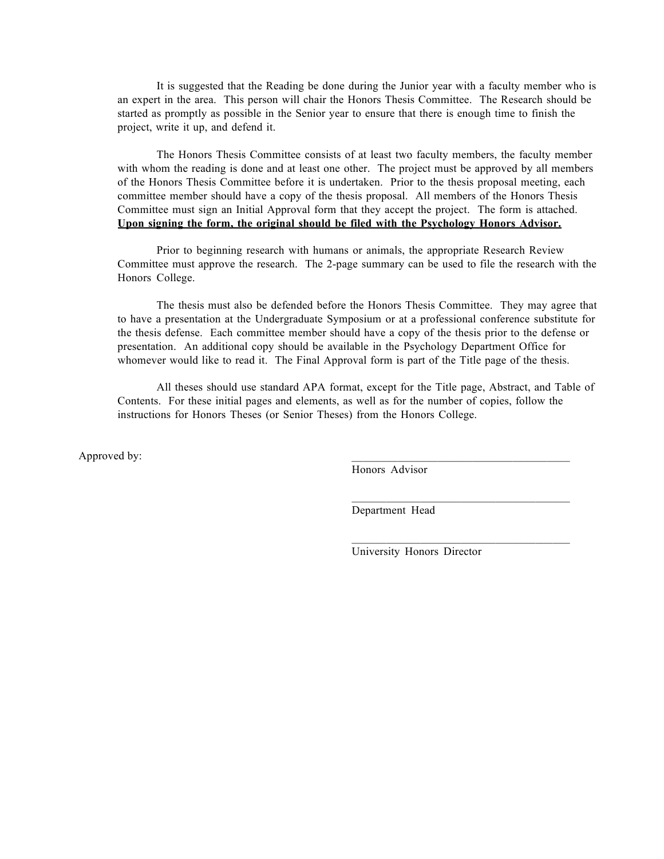It is suggested that the Reading be done during the Junior year with a faculty member who is an expert in the area. This person will chair the Honors Thesis Committee. The Research should be started as promptly as possible in the Senior year to ensure that there is enough time to finish the project, write it up, and defend it.

The Honors Thesis Committee consists of at least two faculty members, the faculty member with whom the reading is done and at least one other. The project must be approved by all members of the Honors Thesis Committee before it is undertaken. Prior to the thesis proposal meeting, each committee member should have a copy of the thesis proposal. All members of the Honors Thesis Committee must sign an Initial Approval form that they accept the project. The form is attached. **Upon signing the form, the original should be filed with the Psychology Honors Advisor.**

Prior to beginning research with humans or animals, the appropriate Research Review Committee must approve the research. The 2-page summary can be used to file the research with the Honors College.

The thesis must also be defended before the Honors Thesis Committee. They may agree that to have a presentation at the Undergraduate Symposium or at a professional conference substitute for the thesis defense. Each committee member should have a copy of the thesis prior to the defense or presentation. An additional copy should be available in the Psychology Department Office for whomever would like to read it. The Final Approval form is part of the Title page of the thesis.

All theses should use standard APA format, except for the Title page, Abstract, and Table of Contents. For these initial pages and elements, as well as for the number of copies, follow the instructions for Honors Theses (or Senior Theses) from the Honors College.

Approved by:

Honors Advisor

Department Head

University Honors Director

 $\mathcal{L}_\text{max}$  and  $\mathcal{L}_\text{max}$  and  $\mathcal{L}_\text{max}$  and  $\mathcal{L}_\text{max}$